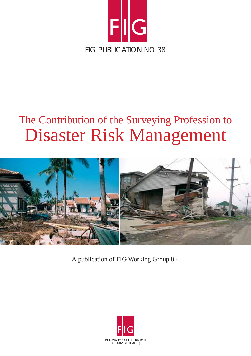

# The Contribution of the Surveying Profession to Disaster Risk Management



A publication of FIG Working Group 8.4

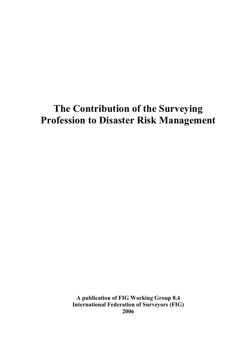## **The Contribution of the Surveying Profession to Disaster Risk Management**

**A publication of FIG Working Group 8.4 International Federation of Surveyors (FIG) 2006**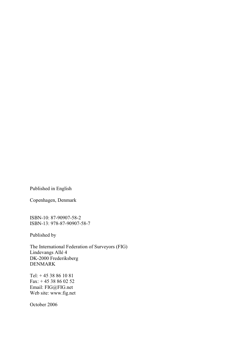Published in English

Copenhagen, Denmark

ISBN-10: 87-90907-58-2 ISBN-13: 978-87-90907-58-7

Published by

The International Federation of Surveyors (FIG) Lindevangs Allé 4 DK-2000 Frederiksberg DENMARK

Tel: + 45 38 86 10 81 Fax: + 45 38 86 02 52 Email: FIG@FIG.net Web site: www.fig.net

October 2006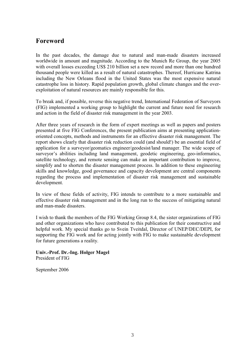## **Foreword**

In the past decades, the damage due to natural and man-made disasters increased worldwide in amount and magnitude. According to the Munich Re Group, the year 2005 with overall losses exceeding US\$ 210 billion set a new record and more than one hundred thousand people were killed as a result of natural catastrophes. Thereof, Hurricane Katrina including the New Orleans flood in the United States was the most expensive natural catastrophe loss in history. Rapid population growth, global climate changes and the overexploitation of natural resources are mainly responsible for this.

To break and, if possible, reverse this negative trend, International Federation of Surveyors (FIG) implemented a working group to highlight the current and future need for research and action in the field of disaster risk management in the year 2003.

After three years of research in the form of expert meetings as well as papers and posters presented at five FIG Conferences, the present publication aims at presenting applicationoriented concepts, methods and instruments for an effective disaster risk management. The report shows clearly that disaster risk reduction could (and should!) be an essential field of application for a surveyor/geomatics engineer/geodesist/land manager. The wide scope of surveyor's abilities including land management, geodetic engineering, geo-informatics, satellite technology, and remote sensing can make an important contribution to improve, simplify and to shorten the disaster management process. In addition to these engineering skills and knowledge, good governance and capacity development are central components regarding the process and implementation of disaster risk management and sustainable development.

In view of these fields of activity, FIG intends to contribute to a more sustainable and effective disaster risk management and in the long run to the success of mitigating natural and man-made disasters.

I wish to thank the members of the FIG Working Group 8.4, the sister organizations of FIG and other organizations who have contributed to this publication for their constructive and helpful work. My special thanks go to Svein Tveitdal, Director of UNEP/DEC/DEPI, for supporting the FIG work and for acting jointly with FIG to make sustainable development for future generations a reality.

**Univ.-Prof. Dr.-Ing. Holger Magel**  President of FIG

September 2006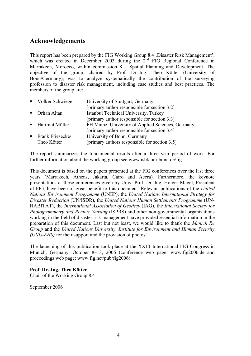## **Acknowledgements**

This report has been prepared by the FIG Working Group 8.4 , Disaster Risk Management', which was created in December 2003 during the 2<sup>nd</sup> FIG Regional Conference in Marrakech, Morocco, within commission 8 – Spatial Planning and Development. The objective of the group, chaired by Prof. Dr.-Ing. Theo Kötter (University of Bonn/Germany), was to analyze systematically the contribution of the surveying profession to disaster risk management, including case studies and best practices. The members of the group are:

| • Volker Schwieger | University of Stuttgart, Germany                  |
|--------------------|---------------------------------------------------|
|                    | [primary author responsible for section 3.2]      |
| ■ Orhan Altan      | Istanbul Technical University, Turkey             |
|                    | [primary author responsible for section 3.3]      |
| ■ Hartmut Müller   | FH Mainz, University of Applied Sciences, Germany |
|                    | [primary author responsible for section 3.4]      |
| • Frank Friesecke/ | University of Bonn, Germany                       |
| Theo Kötter        | [primary authors responsible for section 3.5]     |

The report summarizes the fundamental results after a three year period of work. For further information about the working group see www.isbk.uni-bonn.de/fig.

This document is based on the papers presented at the FIG conferences over the last three years (Marrakech, Athens, Jakarta, Cairo and Accra). Furthermore, the keynote presentations at these conferences given by Univ.-Prof. Dr.-Ing. Holger Magel, President of FIG, have been of great benefit to this document. Relevant publications of the *United Nations Environment Programme* (UNEP), the *United Nations International Strategy for Disaster Reduction* (UN/ISDR), the *United Nations Human Settlements Programme* (UN-HABITAT), the *International Association of Geodesy* (IAG), the *International Society for Photogrammetry and Remote Sensing* (ISPRS) and other non-governmental organizations working in the field of disaster risk management have provided essential information in the preparation of this document. Last but not least, we would like to thank the *Munich Re Group* and the *United Nations University, Institute for Environment and Human Security (UNU-EHS)* for their support and the provision of photos.

The launching of this publication took place at the XXIII International FIG Congress in Munich, Germany, October 8–13, 2006 (conference web page: www.fig2006.de and proceedings web page: www.fig.net/pub/fig2006).

#### **Prof. Dr.-Ing. Theo Kötter**

Chair of the Working Group 8.4

September 2006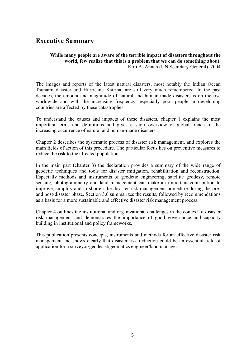## **Executive Summary**

#### **While many people are aware of the terrible impact of disasters throughout the world, few realize that this is a problem that we can do something about.**  Kofi A. Annan (UN Secretary-General), 2004

The images and reports of the latest natural disasters, most notably the Indian Ocean Tsunami disaster and Hurricane Katrina, are still very much remembered. In the past decades, the amount and magnitude of natural and human-made disasters is on the rise worldwide and with the increasing frequency, especially poor people in developing countries are affected by these catastrophes.

To understand the causes and impacts of these disasters, chapter 1 explains the most important terms and definitions and gives a short overview of global trends of the increasing occurrence of natural and human-made disasters.

Chapter 2 describes the systematic process of disaster risk management, and explores the main fields of action of this procedure. The particular focus lies on preventive measures to reduce the risk to the affected population.

In the main part (chapter 3) the declaration provides a summary of the wide range of geodetic techniques and tools for disaster mitigation, rehabilitation and reconstruction. Especially methods and instruments of geodetic engineering, satellite geodesy, remote sensing, photogrammetry and land management can make an important contribution to improve, simplify and to shorten the disaster risk management procedure during the preand post-disaster phase. Section 3.6 summarizes the results, followed by recommendations as a basis for a more sustainable and effective disaster risk management process.

Chapter 4 outlines the institutional and organizational challenges in the context of disaster risk management and demonstrates the importance of good governance and capacity building in institutional and policy frameworks.

This publication presents concepts, instruments and methods for an effective disaster risk management and shows clearly that disaster risk reduction could be an essential field of application for a surveyor/geodesist/geomatics engineer/land manager.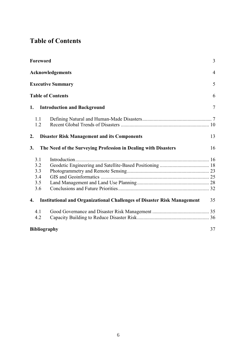## **Table of Contents**

| Foreword            |                                                                                | 3              |
|---------------------|--------------------------------------------------------------------------------|----------------|
|                     | Acknowledgements                                                               | $\overline{4}$ |
|                     | <b>Executive Summary</b>                                                       | 5              |
|                     | <b>Table of Contents</b>                                                       | 6              |
| 1.                  | <b>Introduction and Background</b>                                             | 7              |
| 1.1                 |                                                                                |                |
| 1.2                 |                                                                                |                |
| 2.                  | <b>Disaster Risk Management and its Components</b>                             | 13             |
| 3.                  | The Need of the Surveying Profession in Dealing with Disasters                 | 16             |
| 3.1                 |                                                                                |                |
| 3.2                 |                                                                                |                |
| 3.3                 |                                                                                |                |
| 3.4                 |                                                                                |                |
| 3.5                 |                                                                                |                |
| 3.6                 |                                                                                |                |
| 4.                  | <b>Institutional and Organizational Challenges of Disaster Risk Management</b> | 35             |
| 4.1                 |                                                                                |                |
| 4.2                 |                                                                                |                |
| <b>Bibliography</b> |                                                                                | 37             |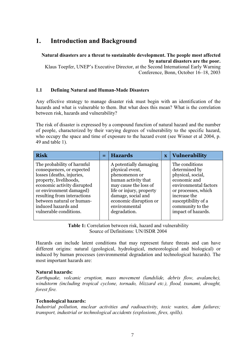## **1. Introduction and Background**

#### **Natural disasters are a threat to sustainable development. The people most affected by natural disasters are the poor.**

Klaus Toepfer, UNEP's Executive Director, at the Second International Early Warning Conference, Bonn, October 16–18, 2003

#### **1.1 Defining Natural and Human-Made Disasters**

Any effective strategy to manage disaster risk must begin with an identification of the hazards and what is vulnerable to them. But what does this mean? What is the correlation between risk, hazards and vulnerability?

The risk of disaster is expressed by a compound function of natural hazard and the number of people, characterized by their varying degrees of vulnerability to the specific hazard, who occupy the space and time of exposure to the hazard event (see Wisner et al 2004, p. 49 and table 1).

| <b>Risk</b>                                                                                                                                                                                                                                                                           | $=$ | <b>Hazards</b>                                                                                                                                                                                                          | $\overline{\mathbf{X}}$ | Vulnerability                                                                                                                                                                                         |
|---------------------------------------------------------------------------------------------------------------------------------------------------------------------------------------------------------------------------------------------------------------------------------------|-----|-------------------------------------------------------------------------------------------------------------------------------------------------------------------------------------------------------------------------|-------------------------|-------------------------------------------------------------------------------------------------------------------------------------------------------------------------------------------------------|
| The probability of harmful<br>consequences, or expected<br>losses (deaths, injuries,<br>property, livelihoods,<br>economic activity disrupted<br>or environment damaged)<br>resulting from interactions<br>between natural or human-<br>induced hazards and<br>vulnerable conditions. |     | A potentially damaging<br>physical event,<br>phenomenon or<br>human activity that<br>may cause the loss of<br>life or injury, property<br>damage, social and<br>economic disruption or<br>environmental<br>degradation. |                         | The conditions<br>determined by<br>physical, social,<br>economic and<br>environmental factors<br>or processes, which<br>increase the<br>susceptibility of a<br>community to the<br>impact of hazards. |

**Table 1:** Correlation between risk, hazard and vulnerability Source of Definitions: UN/ISDR 2004

Hazards can include latent conditions that may represent future threats and can have different origins: natural (geological, hydrological, meteorological and biological) or induced by human processes (environmental degradation and technological hazards). The most important hazards are:

#### **Natural hazards:**

*Earthquake, volcanic eruption, mass movement (landslide, debris flow, avalanche), windstorm (including tropical cyclone, tornado, blizzard etc.), flood, tsunami, drought, forest fire.* 

#### **Technological hazards:**

*Industrial pollution, nuclear activities and radioactivity, toxic wastes, dam failures; transport, industrial or technological accidents (explosions, fires, spills).*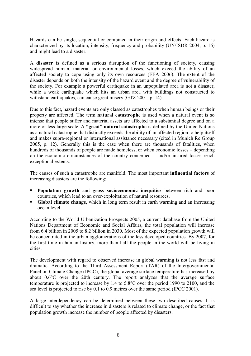Hazards can be single, sequential or combined in their origin and effects. Each hazard is characterized by its location, intensity, frequency and probability (UN/ISDR 2004, p. 16) and might lead to a disaster.

A **disaster** is defined as a serious disruption of the functioning of society, causing widespread human, material or environmental losses, which exceed the ability of an affected society to cope using only its own resources (EEA 2006). The extent of the disaster depends on both the intensity of the hazard event and the degree of vulnerability of the society. For example a powerful earthquake in an unpopulated area is not a disaster, while a weak earthquake which hits an urban area with buildings not constructed to withstand earthquakes, can cause great misery (GTZ 2001, p. 14).

Due to this fact, hazard events are only classed as catastrophes when human beings or their property are affected. The term **natural catastrophe** is used when a natural event is so intense that people suffer and material assets are affected to a substantial degree and on a more or less large scale. A **"great" natural catastrophe** is defined by the United Nations as a natural catastrophe that distinctly exceeds the ability of an affected region to help itself and makes supra-regional or international assistance necessary (cited in Munich Re Group 2005, p. 12). Generally this is the case when there are thousands of fatalities, when hundreds of thousands of people are made homeless, or when economic losses – depending on the economic circumstances of the country concerned – and/or insured losses reach exceptional extents.

The causes of such a catastrophe are manifold. The most important **influential factors** of increasing disasters are the following:

- **Population growth** and **gross socioeconomic inequities** between rich and poor countries, which lead to an over-exploitation of natural resources.
- **Global climate change**, which in long term result in earth warming and an increasing ocean level.

According to the World Urbanization Prospects 2005, a current database from the United Nations Department of Economic and Social Affairs, the total population will increase from 6.4 billion in 2005 to 8.2 billion in 2030. Most of the expected population growth will be concentrated in the urban agglomerations of the less developed countries. By 2007, for the first time in human history, more than half the people in the world will be living in cities.

The development with regard to observed increase in global warming is not less fast and dramatic. According to the Third Assessment Report (TAR) of the Intergovernmental Panel on Climate Change (IPCC), the global average surface temperature has increased by about 0.6°C over the 20th century. The report analyzes that the average surface temperature is projected to increase by 1.4 to 5.8°C over the period 1990 to 2100, and the sea level is projected to rise by 0.1 to 0.9 metres over the same period (IPCC 2001).

A large interdependency can be determined between these two described causes. It is difficult to say whether the increase in disasters is related to climate change, or the fact that population growth increase the number of people affected by disasters.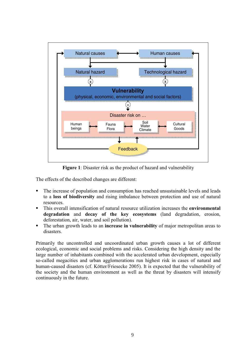

**Figure 1**: Disaster risk as the product of hazard and vulnerability

The effects of the described changes are different:

- The increase of population and consumption has reached unsustainable levels and leads to a **loss of biodiversity** and rising imbalance between protection and use of natural resources.
- This overall intensification of natural resource utilization increases the **environmental degradation** and **decay of the key ecosystems** (land degradation, erosion, deforestation, air, water, and soil pollution).
- The urban growth leads to an **increase in vulnerability** of major metropolitan areas to disasters.

Primarily the uncontrolled and uncoordinated urban growth causes a lot of different ecological, economic and social problems and risks. Considering the high density and the large number of inhabitants combined with the accelerated urban development, especially so-called megacities and urban agglomerations run highest risk in cases of natural and human-caused disasters (cf. Kötter/Friesecke 2005). It is expected that the vulnerability of the society and the human environment as well as the threat by disasters will intensify continuously in the future.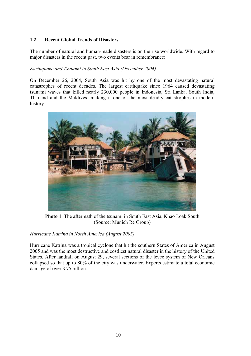#### **1.2 Recent Global Trends of Disasters**

The number of natural and human-made disasters is on the rise worldwide. With regard to major disasters in the recent past, two events bear in remembrance:

#### *Earthquake and Tsunami in South East Asia (December 2004)*

On December 26, 2004, South Asia was hit by one of the most devastating natural catastrophes of recent decades. The largest earthquake since 1964 caused devastating tsunami waves that killed nearly 230,000 people in Indonesia, Sri Lanka, South India, Thailand and the Maldives, making it one of the most deadly catastrophes in modern history.



**Photo 1**: The aftermath of the tsunami in South East Asia, Khao Loak South (Source: Munich Re Group)

#### *Hurricane Katrina in North America (August 2005)*

Hurricane Katrina was a tropical cyclone that hit the southern States of America in August 2005 and was the most destructive and costliest natural disaster in the history of the United States. After landfall on August 29, several sections of the levee system of New Orleans collapsed so that up to 80% of the city was underwater. Experts estimate a total economic damage of over \$ 75 billion.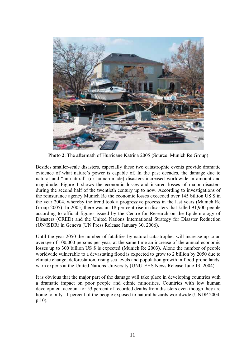

**Photo 2**: The aftermath of Hurricane Katrina 2005 (Source: Munich Re Group)

Besides smaller-scale disasters, especially these two catastrophic events provide dramatic evidence of what nature's power is capable of. In the past decades, the damage due to natural and "un-natural" (or human-made) disasters increased worldwide in amount and magnitude. Figure 1 shows the economic losses and insured losses of major disasters during the second half of the twentieth century up to now. According to investigations of the reinsurance agency Munich Re the economic losses exceeded over 145 billion US \$ in the year 2004, whereby the trend took a progressive process in the last years (Munich Re Group 2005). In 2005, there was an 18 per cent rise in disasters that killed 91,900 people according to official figures issued by the Centre for Research on the Epidemiology of Disasters (CRED) and the United Nations International Strategy for Disaster Reduction (UN/ISDR) in Geneva (UN Press Release January 30, 2006).

Until the year 2050 the number of fatalities by natural catastrophes will increase up to an average of 100,000 persons per year; at the same time an increase of the annual economic losses up to 300 billion US \$ is expected (Munich Re 2003). Alone the number of people worldwide vulnerable to a devastating flood is expected to grow to 2 billion by 2050 due to climate change, deforestation, rising sea levels and population growth in flood-prone lands, warn experts at the United Nations University (UNU-EHS News Release June 13, 2004).

It is obvious that the major part of the damage will take place in developing countries with a dramatic impact on poor people and ethnic minorities. Countries with low human development account for 53 percent of recorded deaths from disasters even though they are home to only 11 percent of the people exposed to natural hazards worldwide (UNDP 2004, p.10).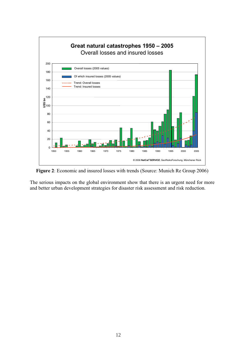

**Figure 2**: Economic and insured losses with trends (Source: Munich Re Group 2006)

The serious impacts on the global environment show that there is an urgent need for more and better urban development strategies for disaster risk assessment and risk reduction.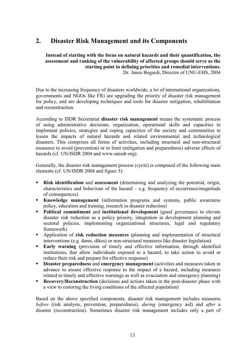## **2. Disaster Risk Management and its Components**

**Instead of starting with the focus on natural hazards and their quantification, the assessment and ranking of the vulnerability of affected groups should serve as the starting point in defining priorities and remedial interventions.**  Dr. Janos Bogardi, Director of UNU-EHS, 2004

Due to the increasing frequency of disasters worldwide, a lot of international organizations, governments and NGOs like FIG are upgrading the priority of disaster risk management for policy, and are developing techniques and tools for disaster mitigation, rehabilitation and reconstruction.

According to ISDR Secretariat **disaster risk management** means the systematic process of using administrative decisions, organization, operational skills and capacities to implement policies, strategies and coping capacities of the society and communities to lessen the impacts of natural hazards and related environmental and technological disasters. This comprises all forms of activities, including structural and non-structural measures to avoid (prevention) or to limit (mitigation and preparedness) adverse effects of hazards (cf. UN/ISDR 2004 and www.unisdr.org).

Generally, the disaster risk management process (cycle) is composed of the following main elements (cf. UN/ISDR 2004 and figure 3):

- **Risk identification** and **assessment** (determining and analyzing the potential, origin, characteristics and behaviour of the hazard  $-$  e.g. frequency of occurrence/magnitude of consequences)
- **Knowledge management** (information programs and systems, public awareness policy, education and training, research in disaster reduction)
- **Political commitment** and **institutional development** (good governance to elevate disaster risk reduction as a policy priority, integration in development planning and sectoral policies, implementing organizational structures, legal and regulatory framework)
- Application of **risk reduction measures** (planning and implementation of structural interventions (e.g. dams, dikes) or non-structural measures like disaster legislation)
- **Early warning** (provision of timely and effective information, through identified institutions, that allow individuals exposed to a hazard, to take action to avoid or reduce their risk and prepare for effective response)
- **-** Disaster preparedness and emergency management (activities and measures taken in advance to ensure effective response to the impact of a hazard, including measures related to timely and effective warnings as well as evacuation and emergency planning)
- **Recovery/Reconstruction** (decisions and actions taken in the post-disaster phase with a view to restoring the living conditions of the affected population)

Based on the above specified components, disaster risk management includes measures *before* (risk analysis, prevention, preparedness), *during* (emergency aid) and *after* a disaster (reconstruction). Sometimes disaster risk management includes only a part of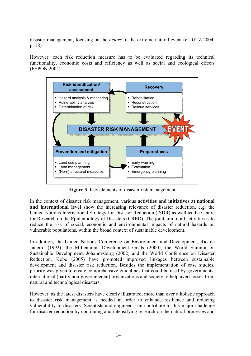disaster management, focusing on the *before* of the extreme natural event (cf. GTZ 2004, p. 18).

However, each risk reduction measure has to be evaluated regarding its technical functionality, economic costs and efficiency as well as social and ecological effects (ESPON 2005).



**Figure 3**: Key elements of disaster risk management

In the context of disaster risk management, various **activities and initiatives at national and international level** show the increasing relevance of disaster reduction, e.g. the United Nations International Strategy for Disaster Reduction (ISDR) as well as the Centre for Research on the Epidemiology of Disasters (CRED). The joint aim of all activities is to reduce the risk of social, economic and environmental impacts of natural hazards on vulnerable populations, within the broad context of sustainable development.

In addition, the United Nations Conference on Environment and Development, Rio de Janeiro (1992), the Millennium Development Goals (2000), the World Summit on Sustainable Development, Johannesburg (2002) and the World Conference on Disaster Reduction, Kobe (2005) have promoted improved linkages between sustainable development and disaster risk reduction. Besides the implementation of case studies, priority was given to create comprehensive guidelines that could be used by governments, international (partly non-governmental) organizations and society to help avert losses from natural and technological disasters.

However, as the latest disasters have clearly illustrated, more than ever a holistic approach to disaster risk management is needed in order to enhance resilience and reducing vulnerability to disasters. Scientists and engineers can contribute to this major challenge for disaster reduction by continuing and intensifying research on the natural processes and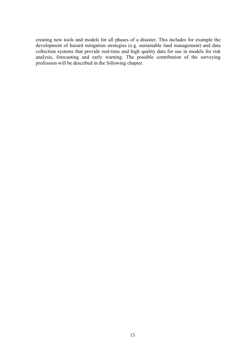creating new tools and models for all phases of a disaster. This includes for example the development of hazard mitigation strategies (e.g. sustainable land management) and data collection systems that provide real-time and high quality data for use in models for risk analysis, forecasting and early warning. The possible contribution of the surveying profession will be described in the following chapter.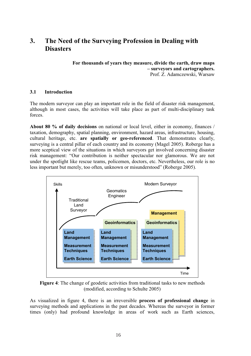## **3. The Need of the Surveying Profession in Dealing with Disasters**

**For thousands of years they measure, divide the earth, draw maps – surveyors and cartographers.**  Prof. Z. Adamczewski, Warsaw

#### **3.1 Introduction**

The modern surveyor can play an important role in the field of disaster risk management, although in most cases, the activities will take place as part of multi-disciplinary task forces.

**About 80 % of daily decisions** on national or local level, either in economy, finances / taxation, demography, spatial planning, environment, hazard areas, infrastructure, housing, cultural heritage, etc. **are spatially or geo-referenced**. That demonstrates clearly, surveying is a central pillar of each country and its economy (Magel 2005). Roberge has a more sceptical view of the situations in which surveyors get involved concerning disaster risk management: "Our contribution is neither spectacular nor glamorous. We are not under the spotlight like rescue teams, policemen, doctors, etc. Nevertheless, our role is no less important but merely, too often, unknown or misunderstood" (Roberge 2005).



**Figure 4**: The change of geodetic activities from traditional tasks to new methods (modified, according to Schulte 2005)

As visualized in figure 4, there is an irreversible **process of professional change** in surveying methods and applications in the past decades. Whereas the surveyor in former times (only) had profound knowledge in areas of work such as Earth sciences,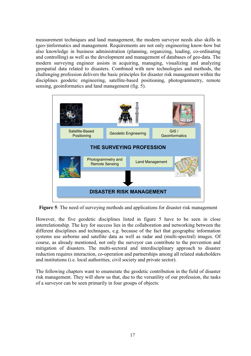measurement techniques and land management, the modern surveyor needs also skills in (geo-)informatics and management. Requirements are not only engineering know-how but also knowledge in business administration (planning, organizing, leading, co-ordinating and controlling) as well as the development and management of databases of geo-data. The modern surveying engineer assists in acquiring, managing, visualizing and analyzing geospatial data related to disasters. Combined with new technologies and methods, the challenging profession delivers the basic principles for disaster risk management within the disciplines geodetic engineering, satellite-based positioning, photogrammetry, remote sensing, geoinformatics and land management (fig. 5).



**Figure 5**: The need of surveying methods and applications for disaster risk management

However, the five geodetic disciplines listed in figure 5 have to be seen in close interrelationship. The key for success lies in the collaboration and networking between the different disciplines and techniques, e.g. because of the fact that geographic information systems use airborne and satellite data as well as radar and (multi-spectral) images. Of course, as already mentioned, not only the surveyor can contribute to the prevention and mitigation of disasters. The multi-sectoral and interdisciplinary approach to disaster reduction requires interaction, co-operation and partnerships among all related stakeholders and institutions (i.e. local authorities, civil society and private sector).

The following chapters want to enumerate the geodetic contribution in the field of disaster risk management. They will show us that, due to the versatility of our profession, the tasks of a surveyor can be seen primarily in four groups of objects: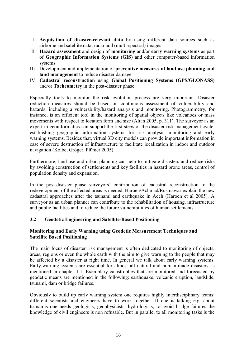- I **Acquisition of disaster-relevant data** by using different data sources such as airborne and satellite data; radar and (multi-spectral) images
- II **Hazard assessment** and design of **monitoring** and/or **early warning systems** as part of **Geographic Information Systems (GIS)** and other computer-based information systems
- III Development and implementation of **preventive measures of land use planning and land management** to reduce disaster damage
- IV **Cadastral reconstruction** using **Global Positioning Systems (GPS/GLONASS)**  and/or **Tacheometry** in the post-disaster phase

Especially tools to monitor the risk evolution process are very important. Disaster reduction measures should be based on continuous assessment of vulnerability and hazards, including a vulnerability/hazard analysis and monitoring. Photogrammetry, for instance, is an efficient tool in the monitoring of spatial objects like volcanoes or mass movements with respect to location form and size (Altan 2005, p. 311). The surveyor as an expert in geoinformatics can support the first steps of the disaster risk management cycle, establishing geographic information systems for risk analysis, monitoring and early warning systems. Besides that, virtual 3D city models can provide important information in case of severe destruction of infrastructure to facilitate localization in indoor and outdoor navigation (Kolbe, Gröger, Plümer 2005).

Furthermore, land use and urban planning can help to mitigate disasters and reduce risks by avoiding construction of settlements and key facilities in hazard prone areas, control of population density and expansion.

In the post-disaster phase surveyors' contribution of cadastral reconstruction to the redevelopment of the affected areas is needed. Haroen/Achmad/Rusmawar explain the new cadastral approaches after the tsunami and earthquake in Aceh (Haroen et al 2005). A surveyor as an urban planner can contribute to the rehabilitation of housing, infrastructure and public facilities and to reduce the future vulnerabilities of human settlements.

#### **3.2 Geodetic Engineering and Satellite-Based Positioning**

#### **Monitoring and Early Warning using Geodetic Measurement Techniques and Satellite Based Positioning**

The main focus of disaster risk management is often dedicated to monitoring of objects, areas, regions or even the whole earth with the aim to give warning to the people that may be affected by a disaster at right time. In general we talk about early warning systems. Early-warning-systems are essential for almost all natural and human-made disasters as mentioned in chapter 1.1. Exemplary catastrophes that are monitored and forecasted by geodetic means are mentioned in the following: earthquake, volcanic eruption, landslide, tsunami, dam or bridge failures.

Obviously to build up early warning system one requires highly interdisciplinary teams: different scientists and engineers have to work together. If one is talking e.g. about tsunamis one needs geologists, geophysicists, hydrologists; to avoid bridge failures the knowledge of civil engineers is non refusable. But in parallel to all monitoring tasks is the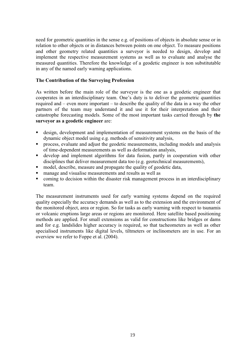need for geometric quantities in the sense e.g. of positions of objects in absolute sense or in relation to other objects or in distances between points on one object. To measure positions and other geometry related quantities a surveyor is needed to design, develop and implement the respective measurement systems as well as to evaluate and analyse the measured quantities. Therefore the knowledge of a geodetic engineer is non substitutable in any of the named early warning applications.

#### **The Contribution of the Surveying Profession**

As written before the main role of the surveyor is the one as a geodetic engineer that cooperates in an interdisciplinary team. One's duty is to deliver the geometric quantities required and – even more important – to describe the quality of the data in a way the other partners of the team may understand it and use it for their interpretation and their catastrophe forecasting models. Some of the most important tasks carried through by **the surveyor as a geodetic engineer** are:

- design, development and implementation of measurement systems on the basis of the dynamic object model using e.g. methods of sensitivity analysis,
- process, evaluate and adjust the geodetic measurements, including models and analysis of time-dependent measurements as well as deformation analysis,
- develop and implement algorithms for data fusion, partly in cooperation with other disciplines that deliver measurement data too (e.g. geotechnical measurements),
- model, describe, measure and propagate the quality of geodetic data,
- manage and visualise measurements and results as well as
- coming to decision within the disaster risk management process in an interdisciplinary team.

The measurement instruments used for early warning systems depend on the required quality especially the accuracy demands as well as to the extension and the environment of the monitored object, area or region. So for tasks as early warning with respect to tsunamis or volcanic eruptions large areas or regions are monitored. Here satellite based positioning methods are applied. For small extensions as valid for constructions like bridges or dams and for e.g. landslides higher accuracy is required, so that tacheometers as well as other specialised instruments like digital levels, tiltmeters or inclinometers are in use. For an overview we refer to Foppe et al. (2004).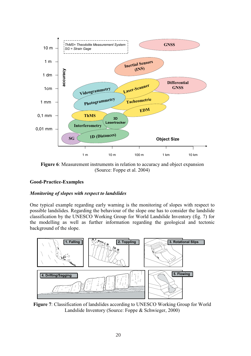

**Figure 6**: Measurement instruments in relation to accuracy and object expansion (Source: Foppe et al. 2004)

#### **Good-Practice-Examples**

#### *Monitoring of slopes with respect to landslides*

One typical example regarding early warning is the monitoring of slopes with respect to possible landslides. Regarding the behaviour of the slope one has to consider the landslide classification by the UNESCO Working Group for World Landslide Inventory (fig. 7) for the modelling as well as further information regarding the geological and tectonic background of the slope.



**Figure 7**: Classification of landslides according to UNESCO Working Group for World Landslide Inventory (Source: Foppe & Schwieger, 2000)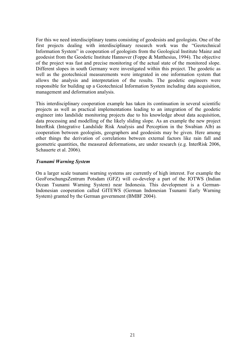For this we need interdisciplinary teams consisting of geodesists and geologists. One of the first projects dealing with interdisciplinary research work was the "Geotechnical Information System" in cooperation of geologists from the Geological Institute Mainz and geodesist from the Geodetic Institute Hannover (Foppe & Matthesius, 1994). The objective of the project was fast and precise monitoring of the actual state of the monitored slope. Different slopes in south Germany were investigated within this project. The geodetic as well as the geotechnical measurements were integrated in one information system that allows the analysis and interpretation of the results. The geodetic engineers were responsible for building up a Geotechnical Information System including data acquisition, management and deformation analysis.

This interdisciplinary cooperation example has taken its continuation in several scientific projects as well as practical implementations leading to an integration of the geodetic engineer into landslide monitoring projects due to his knowledge about data acquisition, data processing and modelling of the likely sliding slope. As an example the new project InterRisk (Integrative Landslide Risk Analysis and Perception in the Swabian Alb) as cooperation between geologists, geographers and geodesists may be given. Here among other things the derivation of correlations between external factors like rain fall and geometric quantities, the measured deformations, are under research (e.g. InterRisk 2006, Schauerte et al. 2006).

#### *Tsunami Warning System*

On a larger scale tsunami warning systems are currently of high interest. For example the GeoForschungsZentrum Potsdam (GFZ) will co-develop a part of the IOTWS (Indian Ocean Tsunami Warning System) near Indonesia. This development is a German-Indonesian cooperation called GITEWS (German Indonesian Tsunami Early Warning System) granted by the German government (BMBF 2004).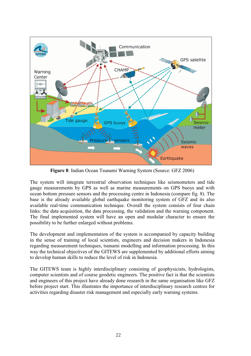

**Figure 8**: Indian Ocean Tsunami Warning System (Source: GFZ 2006)

The system will integrate terrestrial observation techniques like seismometers and tide gauge measurements by GPS as well as marine measurements on GPS buoys and with ocean bottom pressure sensors and the processing centre in Indonesia (compare fig. 8). The base is the already available global earthquake monitoring system of GFZ and its also available real-time communication technique. Overall the system consists of four chain links: the data acquisition, the data processing, the validation and the warning component. The final implemented system will have an open and modular character to ensure the possibility to be further enlarged without problems.

The development and implementation of the system is accompanied by capacity building in the sense of training of local scientists, engineers and decision makers in Indonesia regarding measurement techniques, tsunami modelling and information processing. In this way the technical objectives of the GITEWS are supplemented by additional efforts aiming to develop human skills to reduce the level of risk in Indonesia.

The GITEWS team is highly interdisciplinary consisting of geophysicists, hydrologists, computer scientists and of course geodetic engineers. The positive fact is that the scientists and engineers of this project have already done research in the same organisation like GFZ before project start. This illustrates the importance of interdisciplinary research centres for activities regarding disaster risk management and especially early warning systems.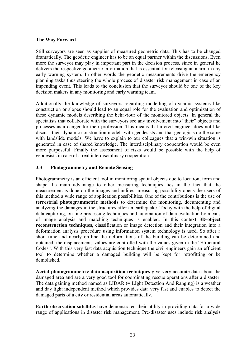#### **The Way Forward**

Still surveyors are seen as supplier of measured geometric data. This has to be changed dramatically. The geodetic engineer has to be an equal partner within the discussions. Even more the surveyor may play in important part in the decision process, since in general he delivers the respective geometric information that is essential for releasing an alarm in any early warning system. In other words the geodetic measurements drive the emergency planning tasks thus steering the whole process of disaster risk management in case of an impending event. This leads to the conclusion that the surveyor should be one of the key decision makers in any monitoring and early warning team.

Additionally the knowledge of surveyors regarding modelling of dynamic systems like construction or slopes should lead to an equal role for the evaluation and optimization of these dynamic models describing the behaviour of the monitored objects. In general the specialists that collaborate with the surveyors see any involvement into "their" objects and processes as a danger for their profession. This means that a civil engineer does not like discuss their dynamic construction models with geodesists and that geologists do the same with landslide models. We have to explain to our colleagues that a win-win situation is generated in case of shared knowledge. The interdisciplinary cooperation would be even more purposeful. Finally the assessment of risks would be possible with the help of geodesists in case of a real interdisciplinary cooperation.

#### **3.3 Photogrammetry and Remote Sensing**

Photogrammetry is an efficient tool in monitoring spatial objects due to location, form and shape. Its main advantage to other measuring techniques lies in the fact that the measurement is done on the images and indirect measuring possibility opens the users of this method a wide range of application possibilities. One of the contributions is the use of **terrestrial photogrammetric methods** to determine the monitoring, documenting and analyzing the damages in the structures after an earthquake. Today with the help of digital data capturing, on-line processing techniques and automation of data evaluation by means of image analysis and matching techniques is enabled. In this context **3D-object reconstruction techniques**, classification or image detection and their integration into a deformation analysis procedure using information system technology is used. So after a short time and nearly on-line the deformations of the building can be determined and obtained, the displacements values are controlled with the values given in the "Structural Codes". With this very fast data acquisition technique the civil engineers gain an efficient tool to determine whether a damaged building will be kept for retrofitting or be demolished.

**Aerial photogrammetric data acquisition techniques** give very accurate data about the damaged area and are a very good tool for coordinating rescue operations after a disaster. The data gaining method named as LIDAR (= LIght Detection And Ranging) is a weather and day light independent method which provides data very fast and enables to detect the damaged parts of a city or residential areas automatically.

**Earth observation satellites** have demonstrated their utility in providing data for a wide range of applications in disaster risk management. Pre-disaster uses include risk analysis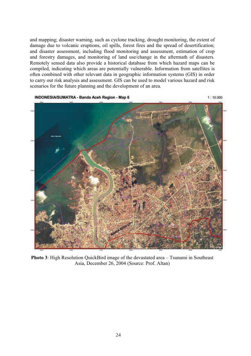and mapping; disaster warning, such as cyclone tracking, drought monitoring, the extent of damage due to volcanic eruptions, oil spills, forest fires and the spread of desertification; and disaster assessment, including flood monitoring and assessment, estimation of crop and forestry damages, and monitoring of land use/change in the aftermath of disasters. Remotely sensed data also provide a historical database from which hazard maps can be compiled, indicating which areas are potentially vulnerable. Information from satellites is often combined with other relevant data in geographic information systems (GIS) in order to carry out risk analysis and assessment. GIS can be used to model various hazard and risk scenarios for the future planning and the development of an area.



**Photo 3**: High Resolution QuickBird image of the devastated area – Tsunami in Southeast Asia, December 26, 2004 (Source: Prof. Altan)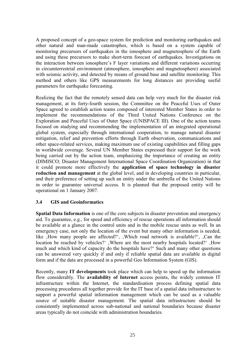A proposed concept of a geo-space system for prediction and monitoring earthquakes and other natural and man-made catastrophes, which is based on a system capable of monitoring precursors of earthquakes in the ionosphere and magnetosphere of the Earth and using these precursors to make short-term forecast of earthquakes. Investigations on the interaction between ionosphere's F layer variations and different variations occurring in circumterrestrial environment (atmosphere, ionosphere and magnetosphere) associated with seismic activity, and detected by means of ground base and satellite monitoring. This method and others like GPS measurements for long distances are providing useful parameters for earthquake forecasting.

Realizing the fact that the remotely sensed data can help very much for the disaster risk management, at its forty-fourth session, the Committee on the Peaceful Uses of Outer Space agreed to establish action teams composed of interested Member States in order to implement the recommendations of the Third United Nations Conference on the Exploration and Peaceful Uses of Outer Space (UNISPACE III). One of the action teams focused on studying and recommending the implementation of an integrated operational global system, especially through international cooperation, to manage natural disaster mitigation, relief and prevention efforts through Earth observation, communications and other space-related services, making maximum use of existing capabilities and filling gaps in worldwide coverage. Several UN Member States expressed their support for the work being carried out by the action team, emphasizing the importance of creating an entity (DIMISCO; Disaster Management International Space Coordination Organization) in that it could promote more effectively the **application of space technology in disaster reduction and management** at the global level, and in developing countries in particular, and their preference of setting up such an entity under the umbrella of the United Nations in order to guarantee universal access. It is planned that the proposed entity will be operational on 1 January 2007.

#### **3.4 GIS and Geoinformatics**

**Spatial Data Information** is one of the core subjects in disaster prevention and emergency aid. To guarantee, e.g., for speed and efficiency of rescue operations all information should be available at a glance in the control units and in the mobile rescue units as well. In an emergency case, not only the location of the event but many other information is needed, like ,How many people are affected?', ,Which road network is available?', ,Can the location be reached by vehicles?' , Where are the most nearby hospitals located?' , How much and which kind of capacity do the hospitals have?' Such and many other questions can be answered very quickly if and only if reliable spatial data are available in digital form and if the data are processed in a powerful Geo Information System (GIS).

Recently, many **IT developments** took place which can help to speed up the information flow considerably. The **availability of Internet** access points, the widely common IT infrastructure within the Internet, the standardisation process defining spatial data processing procedures all together provide for the IT base of a spatial data infrastructure to support a powerful spatial information management which can be used as a valuable source of suitable disaster management. The spatial data infrastructure should be consistently implemented across sub-national and national boundaries because disaster areas typically do not coincide with administration boundaries.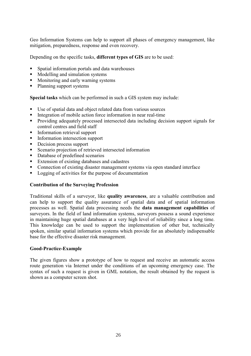Geo Information Systems can help to support all phases of emergency management, like mitigation, preparedness, response and even recovery.

Depending on the specific tasks, **different types of GIS** are to be used:

- Spatial information portals and data warehouses
- Modelling and simulation systems
- Monitoring and early warning systems
- Planning support systems

**Special tasks** which can be performed in such a GIS system may include:

- Use of spatial data and object related data from various sources
- Integration of mobile action force information in near real-time
- Providing adequately processed intersected data including decision support signals for control centres and field staff
- **Information retrieval support**
- **Information intersection support**
- Decision process support
- Scenario projection of retrieved intersected information
- Database of predefined scenarios
- Extension of existing databases and cadastres
- Connection of existing disaster management systems via open standard interface
- **Logging of activities for the purpose of documentation**

#### **Contribution of the Surveying Profession**

Traditional skills of a surveyor, like **quality awareness**, are a valuable contribution and can help to support the quality assurance of spatial data and of spatial information processes as well. Spatial data processing needs the **data management capabilities** of surveyors. In the field of land information systems, surveyors possess a sound experience in maintaining huge spatial databases at a very high level of reliability since a long time. This knowledge can be used to support the implementation of other but, technically spoken, similar spatial information systems which provide for an absolutely indispensable base for the effective disaster risk management.

#### **Good-Practice-Example**

The given figures show a prototype of how to request and receive an automatic access route generation via Internet under the conditions of an upcoming emergency case. The syntax of such a request is given in GML notation, the result obtained by the request is shown as a computer screen shot.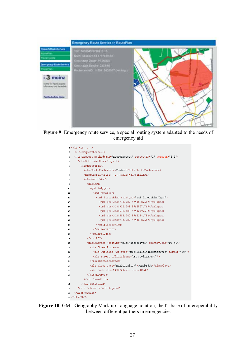

**Figure 9**: Emergency route service, a special routing system adapted to the needs of emergency aid



**Figure 10**: GML Geography Mark-up Language notation, the IT base of interoperability between different partners in emergencies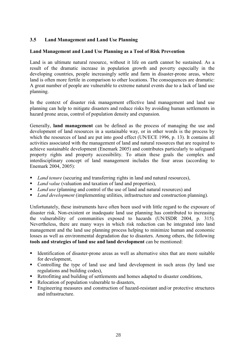#### **3.5 Land Management and Land Use Planning**

#### **Land Management and Land Use Planning as a Tool of Risk Prevention**

Land is an ultimate natural resource, without it life on earth cannot be sustained. As a result of the dramatic increase in population growth and poverty especially in the developing countries, people increasingly settle and farm in disaster-prone areas, where land is often more fertile in comparison to other locations. The consequences are dramatic: A great number of people are vulnerable to extreme natural events due to a lack of land use planning.

In the context of disaster risk management effective land management and land use planning can help to mitigate disasters and reduce risks by avoiding human settlements in hazard prone areas, control of population density and expansion.

Generally, **land management** can be defined as the process of managing the use and development of land resources in a sustainable way, or in other words is the process by which the resources of land are put into good effect (UN/ECE 1996, p. 13). It contains all activities associated with the management of land and natural resources that are required to achieve sustainable development (Enemark 2005) and contributes particularly to safeguard property rights and property accessibility. To attain these goals the complex and interdisciplinary concept of land management includes the four areas (according to Enemark 2004, 2005):

- *Land tenure* (securing and transferring rights in land and natural resources),
- *Land value* (valuation and taxation of land and properties),
- *Land use* (planning and control of the use of land and natural resources) and
- *Land development* (implementing utilities, infrastructure and construction planning).

Unfortunately, these instruments have often been used with little regard to the exposure of disaster risk. Non-existent or inadequate land use planning has contributed to increasing the vulnerability of communities exposed to hazards (UN/ISDR 2004, p. 315). Nevertheless, there are many ways in which risk reduction can be integrated into land management and the land use planning process helping to minimize human and economic losses as well as environmental degradation due to disasters. Among others, the following **tools and strategies of land use and land development** can be mentioned:

- Identification of disaster-prone areas as well as alternative sites that are more suitable for development,
- Controlling the type of land use and land development in such areas (by land use regulations and building codes),
- Retrofitting and building of settlements and homes adapted to disaster conditions,
- Relocation of population vulnerable to disasters,
- Engineering measures and construction of hazard-resistant and/or protective structures and infrastructure.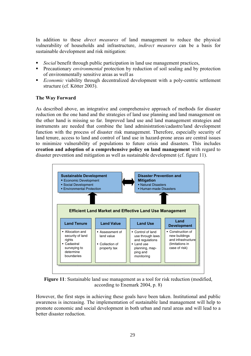In addition to these *direct measures* of land management to reduce the physical vulnerability of households and infrastructure, *indirect measures* can be a basis for sustainable development and risk mitigation:

- *Social* benefit through public participation in land use management practices,
- **Precautionary** *environmental* protection by reduction of soil sealing and by protection of environmentally sensitive areas as well as
- **Economic** viability through decentralized development with a poly-centric settlement structure (cf. Kötter 2003).

#### **The Way Forward**

As described above, an integrative and comprehensive approach of methods for disaster reduction on the one hand and the strategies of land use planning and land management on the other hand is missing so far. Improved land use and land management strategies and instruments are needed that combine the land administration/cadastre/land development function with the process of disaster risk management. Therefore, especially security of land tenure, access to land and control of land use in hazard-prone areas are central issues to minimize vulnerability of populations to future crisis and disasters. This includes **creation and adoption of a comprehensive policy on land management** with regard to disaster prevention and mitigation as well as sustainable development (cf. figure 11).



**Figure 11**: Sustainable land use management as a tool for risk reduction (modified, according to Enemark 2004, p. 8)

However, the first steps in achieving these goals have been taken. Institutional and public awareness is increasing. The implementation of sustainable land management will help to promote economic and social development in both urban and rural areas and will lead to a better disaster reduction.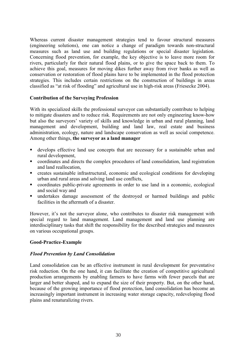Whereas current disaster management strategies tend to favour structural measures (engineering solutions), one can notice a change of paradigm towards non-structural measures such as land use and building regulations or special disaster legislation. Concerning flood prevention, for example, the key objective is to leave more room for rivers, particularly for their natural flood plains, or to give the space back to them. To achieve this goal, measures for moving dikes further away from river banks as well as conservation or restoration of flood plains have to be implemented in the flood protection strategies. This includes certain restrictions on the construction of buildings in areas classified as "at risk of flooding" and agricultural use in high-risk areas (Friesecke 2004).

#### **Contribution of the Surveying Profession**

With its specialized skills the professional surveyor can substantially contribute to helping to mitigate disasters and to reduce risk. Requirements are not only engineering know-how but also the surveyors' variety of skills and knowledge in urban and rural planning, land management and development, building and land law, real estate and business administration, ecology, nature and landscape conservation as well as social competence. Among other things, **the surveyor as a land manager**

- develops effective land use concepts that are necessary for a sustainable urban and rural development,
- coordinates and directs the complex procedures of land consolidation, land registration and land reallocation,
- creates sustainable infrastructural, economic and ecological conditions for developing urban and rural areas and solving land use conflicts,
- coordinates public-private agreements in order to use land in a economic, ecological and social way and
- undertakes damage assessment of the destroyed or harmed buildings and public facilities in the aftermath of a disaster.

However, it's not the surveyor alone, who contributes to disaster risk management with special regard to land management. Land management and land use planning are interdisciplinary tasks that shift the responsibility for the described strategies and measures on various occupational groups.

#### **Good-Practice-Example**

#### *Flood Prevention by Land Consolidation*

Land consolidation can be an effective instrument in rural development for preventative risk reduction. On the one hand, it can facilitate the creation of competitive agricultural production arrangements by enabling farmers to have farms with fewer parcels that are larger and better shaped, and to expand the size of their property. But, on the other hand, because of the growing importance of flood protection, land consolidation has become an increasingly important instrument in increasing water storage capacity, redeveloping flood plains and renaturalizing rivers.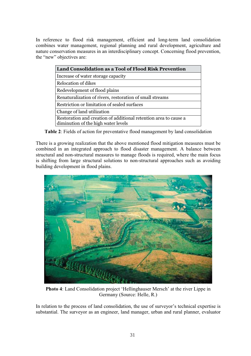In reference to flood risk management, efficient and long-term land consolidation combines water management, regional planning and rural development, agriculture and nature conservation measures in an interdisciplinary concept. Concerning flood prevention, the "new" objectives are:

| Land Consolidation as a Tool of Flood Risk Prevention                                                   |  |  |  |  |
|---------------------------------------------------------------------------------------------------------|--|--|--|--|
| Increase of water storage capacity                                                                      |  |  |  |  |
| Relocation of dikes                                                                                     |  |  |  |  |
| Redevelopment of flood plains                                                                           |  |  |  |  |
| Renaturalization of rivers, restoration of small streams                                                |  |  |  |  |
| Restriction or limitation of sealed surfaces                                                            |  |  |  |  |
| Change of land utilization                                                                              |  |  |  |  |
| Restoration and creation of additional retention area to cause a<br>diminution of the high water levels |  |  |  |  |

**Table 2**: Fields of action for preventative flood management by land consolidation

There is a growing realization that the above mentioned flood mitigation measures must be combined in an integrated approach to flood disaster management. A balance between structural and non-structural measures to manage floods is required, where the main focus is shifting from large structural solutions to non-structural approaches such as avoiding building development in flood plains.



**Photo 4**: Land Consolidation project 'Hellinghauser Mersch' at the river Lippe in Germany (Source: Helle, R.)

In relation to the process of land consolidation, the use of surveyor's technical expertise is substantial. The surveyor as an engineer, land manager, urban and rural planner, evaluator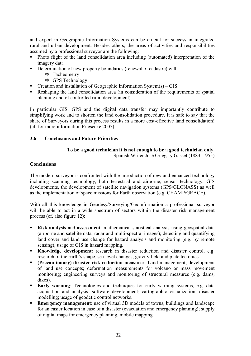and expert in Geographic Information Systems can be crucial for success in integrated rural and urban development. Besides others, the areas of activities and responsibilities assumed by a professional surveyor are the following:

- Photo flight of the land consolidation area including (automated) interpretation of the imagery data
- Determination of new property boundaries (renewal of cadastre) with
	- $\Rightarrow$  Tacheometry
	- $\Rightarrow$  GPS Technology
- Creation and installation of Geographic Information System $(s) GIS$
- Reshaping the land consolidation area (in consideration of the requirements of spatial planning and of controlled rural development)

In particular GIS, GPS and the digital data transfer may importantly contribute to simplifying work and to shorten the land consolidation procedure. It is safe to say that the share of Surveyors during this process results in a more cost-effective land consolidation! (cf. for more information Friesecke 2005).

#### **3.6 Conclusions and Future Priorities**

## **To be a good technician it is not enough to be a good technician only.**

Spanish Writer José Ortega y Gasset (1883–1955)

#### **Conclusions**

The modern surveyor is confronted with the introduction of new and enhanced technology including scanning technology, both terrestrial and airborne, sensor technology, GIS developments, the development of satellite navigation systems (GPS/GLONASS) as well as the implementation of space missions for Earth observation (e.g. CHAMP/GRACE).

With all this knowledge in Geodesy/Surveying/Geoinformation a professional surveyor will be able to act in a wide spectrum of sectors within the disaster risk management process (cf. also figure 12):

- **Risk analysis** and **assessment**: mathematical-statistical analysis using geospatial data (airborne and satellite data; radar and multi-spectral images); detecting and quantifying land cover and land use change for hazard analysis and monitoring (e.g. by remote sensing); usage of GIS in hazard mapping.
- **Knowledge development**: research in disaster reduction and disaster control, e.g. research of the earth's shape, sea level changes, gravity field and plate tectonics.
- **(Precautionary) disaster risk reduction measures**: Land management; development of land use concepts; deformation measurements for volcano or mass movement monitoring; engineering surveys and monitoring of structural measures (e.g. dams, dikes).
- **Early warning**: Technologies and techniques for early warning systems, e.g. data acquisition and analysis; software development; cartographic visualization; disaster modelling; usage of geodetic control networks.
- **Emergency management**: use of virtual 3D models of towns, buildings and landscape for an easier location in case of a disaster (evacuation and emergency planning); supply of digital maps for emergency planning, mobile mapping.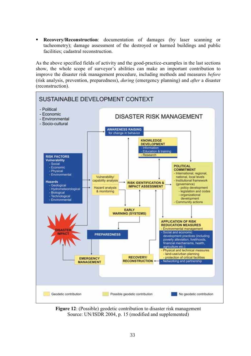**Recovery/Reconstruction**: documentation of damages (by laser scanning or tacheometry); damage assessment of the destroyed or harmed buildings and public facilities; cadastral reconstruction.

As the above specified fields of activity and the good-practice-examples in the last sections show, the whole scope of surveyor's abilities can make an important contribution to improve the disaster risk management procedure, including methods and measures *before* (risk analysis, prevention, preparedness), *during* (emergency planning) and *after* a disaster (reconstruction).



**Figure 12**: (Possible) geodetic contribution to disaster risk management Source: UN/ISDR 2004, p. 15 (modified and supplemented)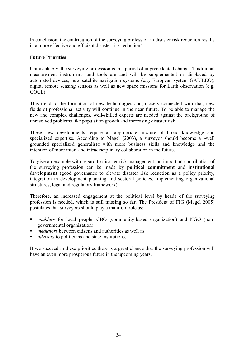In conclusion, the contribution of the surveying profession in disaster risk reduction results in a more effective and efficient disaster risk reduction!

#### **Future Priorities**

Unmistakably, the surveying profession is in a period of unprecedented change. Traditional measurement instruments and tools are and will be supplemented or displaced by automated devices, new satellite navigation systems (e.g. European system GALILEO), digital remote sensing sensors as well as new space missions for Earth observation (e.g. GOCE).

This trend to the formation of new technologies and, closely connected with that, new fields of professional activity will continue in the near future. To be able to manage the new and complex challenges, well-skilled experts are needed against the background of unresolved problems like population growth and increasing disaster risk.

These new developments require an appropriate mixture of broad knowledge and specialized expertise. According to Magel (2003), a surveyor should become a »well grounded specialized generalist« with more business skills and knowledge and the intention of more inter- and intradisciplinary collaboration in the future.

To give an example with regard to disaster risk management, an important contribution of the surveying profession can be made by **political commitment** and **institutional development** (good governance to elevate disaster risk reduction as a policy priority, integration in development planning and sectoral policies, implementing organizational structures, legal and regulatory framework).

Therefore, an increased engagement at the political level by heads of the surveying profession is needed, which is still missing so far. The President of FIG (Magel 2005) postulates that surveyors should play a manifold role as:

- *enablers* for local people, CBO (community-based organization) and NGO (nongovernmental organization)
- *mediators* between citizens and authorities as well as
- *advisors* to politicians and state institutions.

If we succeed in these priorities there is a great chance that the surveying profession will have an even more prosperous future in the upcoming years.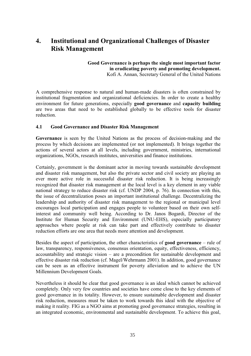## **4. Institutional and Organizational Challenges of Disaster Risk Management**

#### **Good Governance is perhaps the single most important factor in eradicating poverty and promoting development.**  Kofi A. Annan, Secretary General of the United Nations

A comprehensive response to natural and human-made disasters is often constrained by institutional fragmentation and organizational deficiencies. In order to create a healthy environment for future generations, especially **good governance** and **capacity building** are two areas that need to be established globally to be effective tools for disaster reduction.

#### **4.1 Good Governance and Disaster Risk Management**

**Governance** is seen by the United Nations as the process of decision-making and the process by which decisions are implemented (or not implemented). It brings together the actions of several actors at all levels, including government, ministries, international organizations, NGOs, research institutes, universities and finance institutions.

Certainly, government is the dominant actor in moving towards sustainable development and disaster risk management, but also the private sector and civil society are playing an ever more active role in successful disaster risk reduction. It is being increasingly recognized that disaster risk management at the local level is a key element in any viable national strategy to reduce disaster risk (cf. UNDP 2004, p. 76). In connection with this, the issue of decentralization poses an important institutional challenge. Decentralizing the leadership and authority of disaster risk management to the regional or municipal level encourages local participation and engages people to volunteer based on their own selfinterest and community well being. According to Dr. Janos Bogardi, Director of the Institute for Human Security and Environment (UNU-EHS), especially participatory approaches where people at risk can take part and effectively contribute to disaster reduction efforts are one area that needs more attention and development.

Besides the aspect of participation, the other characteristics of **good governance** – rule of law, transparency, responsiveness, consensus orientation, equity, effectiveness, efficiency, accountability and strategic vision – are a precondition for sustainable development and effective disaster risk reduction (cf. Magel/Wehrmann 2001). In addition, good governance can be seen as an effective instrument for poverty alleviation and to achieve the UN Millennium Development Goals.

Nevertheless it should be clear that good governance is an ideal which cannot be achieved completely. Only very few countries and societies have come close to the key elements of good governance in its totality. However, to ensure sustainable development and disaster risk reduction, measures must be taken to work towards this ideal with the objective of making it reality. FIG as a NGO aims at promoting good governance strategies, resulting in an integrated economic, environmental and sustainable development. To achieve this goal,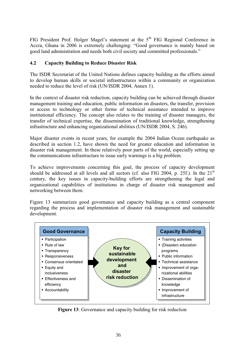FIG President Prof. Holger Magel's statement at the  $5<sup>th</sup>$  FIG Regional Conference in Accra, Ghana in 2006 is extremely challenging: "Good governance is mainly based on good land administration and needs both civil society and committed professionals."

#### **4.2 Capacity Building to Reduce Disaster Risk**

The ISDR Secretariat of the United Nations defines capacity building as the efforts aimed to develop human skills or societal infrastructures within a community or organization needed to reduce the level of risk (UN/ISDR 2004, Annex 1).

In the context of disaster risk reduction, capacity building can be achieved through disaster management training and education, public information on disasters, the transfer, provision or access to technology or other forms of technical assistance intended to improve institutional efficiency. The concept also relates to the training of disaster managers, the transfer of technical expertise, the dissemination of traditional knowledge, strengthening infrastructure and enhancing organizational abilities (UN/ISDR 2004, S. 246).

Major disaster events in recent years, for example the 2004 Indian Ocean earthquake as described in section 1.2, have shown the need for greater education and information in disaster risk management. In these relatively poor parts of the world, especially setting up the communications infrastructure to issue early warnings is a big problem.

To achieve improvements concerning this goal, the process of capacity development should be addressed at all levels and all sectors (cf. also FIG 2004, p. 25f.). In the  $21<sup>st</sup>$ century, the key issues in capacity-building efforts are strengthening the legal and organizational capabilities of institutions in charge of disaster risk management and networking between them.

Figure 13 summarizes good governance and capacity building as a central component regarding the process and implementation of disaster risk management and sustainable development.



**Figure 13**: Governance and capacity building for risk reduction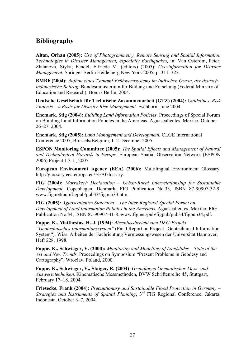## **Bibliography**

**Altan, Orhan (2005):** *Use of Photogrammetry, Remote Sensing and Spatial Information Technologies in Disaster Management, especially Earthquakes,* in: Van Osterom, Peter; Zlatanova, Siyka; Fendel, Elfriede M. (editors) (2005): *Geo-information for Disaster Management.* Springer Berlin Heidelberg New York 2005, p. 311–322.

**BMBF (2004):** *Aufbau eines Tsunami-Frühwarnsystems im Indischen Ozean, der deutschindonesische Beitrag.* Bundesministerium für Bildung und Forschung (Federal Ministry of Education and Research), Bonn / Berlin, 2004.

**Deutsche Gesellschaft für Technische Zusammenarbeit (GTZ) (2004):** *Guidelines. Risk Analysis – a Basis for Disaster Risk Management.* Eschborn, June 2004.

**Enemark, Stig (2004):** *Building Land Information Policies.* Proceedings of Special Forum on Building Land Information Policies in the Americas. Aguascalientes, Mexico, October 26–27, 2004.

**Enemark, Stig (2005):** *Land Management and Development.* CLGE International Conference 2005, Brussels/Belgium, 1–2 December 2005.

**ESPON Monitoring Committee (2005):** *The Spatial Effects and Management of Natural and Technological Hazards in Europe.* European Spatial Observation Network (ESPON 2006) Project 1.3.1., 2005.

**European Environment Agency (EEA) (2006):** Multilingual Environment Glossary. http://glossary.eea.europa.eu/EEAGlossary.

**FIG (2004):** *Marrakech Declaration* – *Urban-Rural Interrelationship for Sustainable Development.* Copenhagen, Denmark, FIG Publication No.33, ISBN 87-90907-32-9. www.fig.net/pub/figpub/pub33/figpub33.htm.

**FIG (2005):** *Aguascalientes Statement – The Inter-Regional Special Forum on Development of Land Information Policies in the Americas.* Aguascalientes, Mexico, FIG Publication No.34, ISBN 87-90907-41-8. www.fig.net/pub/figpub/pub34/figpub34.pdf.

**Foppe, K., Matthesius, H.-J. (1994):** *Abschlussbericht zum DFG-Projekt "Geotechnisches Informationssystem"* (Final Report on Project "Geotechnical Information System"). Wiss. Arbeiten der Fachrichtung Vermessungswesen der Universität Hannover, Heft 228, 1998.

**Foppe, K., Schwieger, V. (2000):** *Monitoring and Modelling of Landslides – State of the Art and New Trends.* Proceedings on Symposium "Present Problems in Geodesy and Cartography", Wroclav, Poland, 2000.

**Foppe, K., Schwieger, V., Staiger, R. (2004)**: *Grundlagen kinematischer Mess- und Auswertetechniken.* Kinematische Messmethoden, DVW Schriftenreihe 45, Stuttgart, February 17–18, 2004.

**Friesecke, Frank (2004):** *Precautionary and Sustainable Flood Protection in Germany – Strategies and Instruments of Spatial Planning*, 3rd FIG Regional Conference, Jakarta, Indonesia, October 3–7, 2004.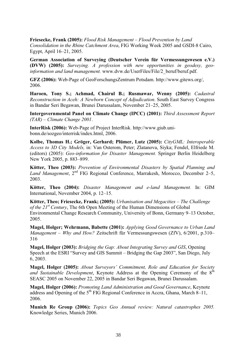**Friesecke, Frank (2005):** *Flood Risk Management – Flood Prevention by Land Consolidation in the Rhine Catchment Area*, FIG Working Week 2005 and GSDI-8 Cairo, Egypt, April 16–21, 2005.

**German Association of Surveying (Deutscher Verein für Vermessungswesen e.V.) (DVW) (2005):** *Surveying. A profession with new opportunities in geodesy, geoinformation and land management.* www.dvw.de/UserFiles/File/2\_beruf/beruf.pdf.

**GFZ (2006):** Web-Page of GeoForschungsZentrum Potsdam. http://www.gitews.org/, 2006.

**Haroen, Tony S.; Achmad, Chairul B.; Rusmawar, Wenny (2005):** *Cadastral Reconstruction in Aceh: A Newborn Concept of Adjudication*. South East Survey Congress in Bandar Seri Begawan, Brunei Darussalam, November 21–25, 2005.

**Intergovernmental Panel on Climate Change (IPCC) (2001):** *Third Assessment Report (TAR) – Climate Change 2001*.

**InterRisk (2006):** Web-Page of Project InterRisk. http://www.giub.unibonn.de/sozgeo/interrisk/index.html, 2006.

**Kolbe, Thomas H.; Gröger, Gerhard; Plümer, Lutz (2005):** *CityGML: Interoperable Access to 3D City Models,* in: Van Osterom, Peter; Zlatanova, Siyka; Fendel, Elfriede M. (editors) (2005): *Geo-information for Disaster Management.* Springer Berlin Heidelberg New York 2005, p. 883–899.

**Kötter, Theo (2003):** *Prevention of Environmental Disasters by Spatial Planning and*  Land Management, 2<sup>nd</sup> FIG Regional Conference, Marrakesh, Morocco, December 2–5, 2003.

**Kötter, Theo (2004):** *Disaster Management and e-land Management.* In: GIM International, November 2004, p. 12–15.

**Kötter, Theo; Friesecke, Frank; (2005):** *Urbanisation and Megacities – The Challenge of the 21st Century*, The 6th Open Meeting of the Human Dimensions of Global Environmental Change Research Community, University of Bonn, Germany 9–13 October, 2005.

**Magel, Holger; Wehrmann, Babette (2001):** *Applying Good Governance to Urban Land Management – Why and How?* Zeitschrift für Vermessungswesen (ZfV), 6/2001, p.310– 316

**Magel, Holger (2003):** *Bridging the Gap: About Integrating Survey and GIS*, Opening Speech at the ESRI "Survey and GIS Summit – Bridging the Gap 2003", San Diego, July 6, 2003.

**Magel, Holger (2005):** *About Surveyors' Commitment, Role and Education for Society and Sustainable Development*, Keynote Address at the Opening Ceremony of the 8<sup>th</sup> SEASC 2005 on November 22, 2005 in Bandar Seri Begawan, Brunei Darussalam.

**Magel, Holger (2006):** *Promoting Land Administration and Good Governance*, Keynote address and Opening of the  $5<sup>th</sup>$  FIG Regional Conference in Accra, Ghana, March 8–11, 2006.

**Munich Re Group (2006):** *Topics Geo Annual review: Natural catastrophes 2005.* Knowledge Series, Munich 2006.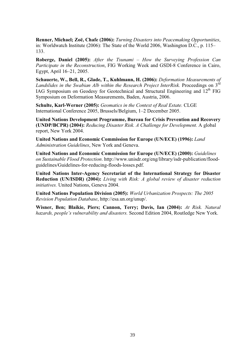**Renner, Michael; Zoɺ, Chafe (2006):** *Turning Disasters into Peacemaking Opportunities*, in: Worldwatch Institute (2006): The State of the World 2006, Washington D.C., p. 115– 133.

**Roberge, Daniel (2005):** *After the Tsunami – How the Surveying Profession Can Participate in the Reconstruction*, FIG Working Week and GSDI-8 Conference in Cairo, Egypt, April 16–21, 2005.

**Schauerte, W., Bell, R., Glade, T., Kuhlmann, H. (2006):** *Deformation Measurements of*  Landslides in the Swabian Alb within the Research Project InterRisk. Proceedings on 3<sup>rd</sup> IAG Symposium on Geodesy for Geotechnical and Structural Engineering and 12<sup>th</sup> FIG Symposium on Deformation Measurements, Baden, Austria, 2006.

**Schulte, Karl-Werner (2005):** *Geomatics in the Context of Real Estate.* CLGE International Conference 2005, Brussels/Belgium, 1–2 December 2005.

**United Nations Development Programme, Bureau for Crisis Prevention and Recovery (UNDP/BCPR) (2004):** *Reducing Disaster Risk. A Challenge for Development.* A global report, New York 2004.

**United Nations and Economic Commission for Europe (UN/ECE) (1996):** *Land Administration Guidelines*, New York and Geneva.

**United Nations and Economic Commission for Europe (UN/ECE) (2000):** *Guidelines on Sustainable Flood Protection*. http://www.unisdr.org/eng/library/isdr-publication/floodguidelines/Guidelines-for-reducing-floods-losses.pdf.

**United Nations Inter-Agency Secretariat of the International Strategy for Disaster Reduction (UN/ISDR) (2004):** *Living with Risk: A global review of disaster reduction initiatives.* United Nations, Geneva 2004.

**United Nations Population Division (2005):** *World Urbanization Prospects: The 2005 Revision Population Database*, http://esa.un.org/unup/.

**Wisner, Ben; Blaikie, Piers; Cannon, Terry; Davis, Ian (2004):** *At Risk. Natural hazards, people's vulnerability and disasters.* Second Edition 2004, Routledge New York.